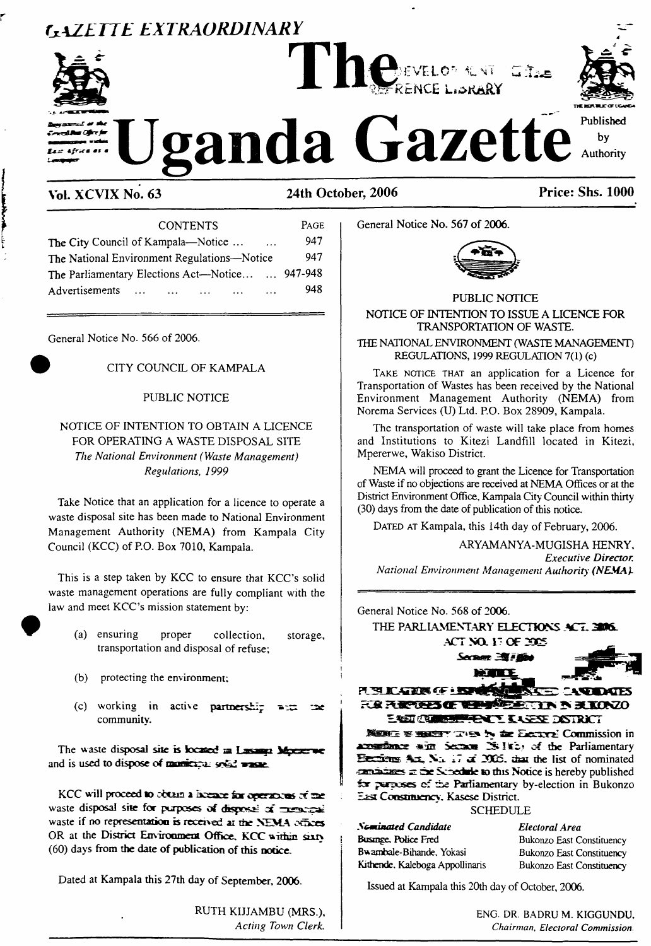# *GAZETTE EXTRAORDINARY*





Uganda Gazette

**Vol. XCVIX No. 63 24th October, 2006 Price: Shs. 1000**

| <b>CONTENTS</b>                                                                        | PAGE |
|----------------------------------------------------------------------------------------|------|
| The City Council of Kampala—Notice<br>$\ddotsc$                                        | 947  |
| The National Environment Regulations—Notice                                            | 947  |
| The Parliamentary Elections Act-Notice  947-948                                        |      |
| Advertisements<br>$\cdots$<br>$\sim$ $\sim$ $\sim$<br>$\cdots$<br>$\cdots$<br>$\cdots$ | 948  |
|                                                                                        |      |

General Notice No. 566 of 2006.

### ) CITY COUNCIL OF KAMPALA

### PUBLIC NOTICE

NOTICE OF INTENTION TO OBTAIN A LICENCE FOR OPERATING A WASTE DISPOSAL SITE *The National Environment (Waste Management) Regulations, 1999*

Take Notice that an application for a licence to operate a waste disposal site has been made to National Environment Management Authority (NEMA) from Kampala City Council (KCC) of P.O. Box 7010, Kampala.

This is a step taken by KCC to ensure that KCC's solid waste management operations are fully compliant with the law and meet KCC's mission statement by:

- (a) ensuring proper collection, storage, transportation and disposal of refuse;
- (b) protecting the environment;
- (c) working in active **partnership** جوم community.

The waste **disposal she is fccafiDd aa Lasanp Mpeerwe** and **is used to dispose of sc&d vasae.**

**KCC <sup>w</sup> ill proceed to** obtain **a hceacr for opersxm ofne** waste **disposal she for purposes of dtsposii of Tcscot** waste if no representation is received at the NEMA cellices OR at the **District Emiroument Office, KCC wirhm sixty** (60) days **from the date of publication of this notice.**

Dated at Kampala this 27th day of September, 2006.

RUTH KIJJAMBU (MRS.), *Acting Town Clerk.* General Notice No. 567 **of 2006.**



PUBLIC NOTICE NOTICE OF INTENTION TO ISSUE A LICENCE FOR TRANSPORTATION OF WASTE.

THE NATIONAL ENVIRONMENT (WASTE MANAGEMENT) REGULATIONS, 1999 REGULATION 7(1) (c)

TAKE NOTICE THAT an application for a Licence for Transportation of Wastes has been received by the National Environment Management Authority (NEMA) from Norema Services (U) Ltd. P.O. Box 28909, Kampala.

The transportation of waste will take place from homes and Institutions to Kitezi Landfill located in Kitezi, Mpererwe, Wakiso District.

NEMA will proceed to grant the Licence for Transportation ofWaste if no objections are received at NEMA Offices or at the District Environment Office, Kampala City Council within thirty (30) days from the date of publication of this notice.

DATED AT Kampala, this 14th day of February, 2006.

ARYAMANYA-MUGISHA HENRY, *Executive Director. National Environment Management Authority (NEMA).*

General Notice No. 568 of 2006. THE PARLIAMENTARY ELECTIONS ACT. 3006 ACT NO. 17 OF DIES Section 2071 PERCENT OF EXP FIRE FROM THE STRIP SECOND **EAST COMMAND HENLY KARRE DISTRICT JSsbez 'SS'' de Eiecxrx Commission in A'.-sirftHiux Sctct 2S! of the Parliamentary Hecriem? Acx. -7 <£ 30C5. dm the list of nominated záe Scnedaie <sup>k</sup><sup>&</sup>gt; this Notice is hereby published ibr psrpcses of ±>e Parliamentary by-election in Bukonzo East Cocsmuency. Kasese District.** SCHEDULE *Naennated Candidate Electoral Area* Busmge. Police Fred Bukonzo East Constituency Bwambale-Bihande, Yokasi Bukonzo East Constituency Kithende. Kaleboga Appollinaris Bukonzo East Constituency

Issued at Kampala this 20th day of October, 2006.

ENG. DR. BADRU M. KIGGUNDU, *Chairman, Electoral Commission.*